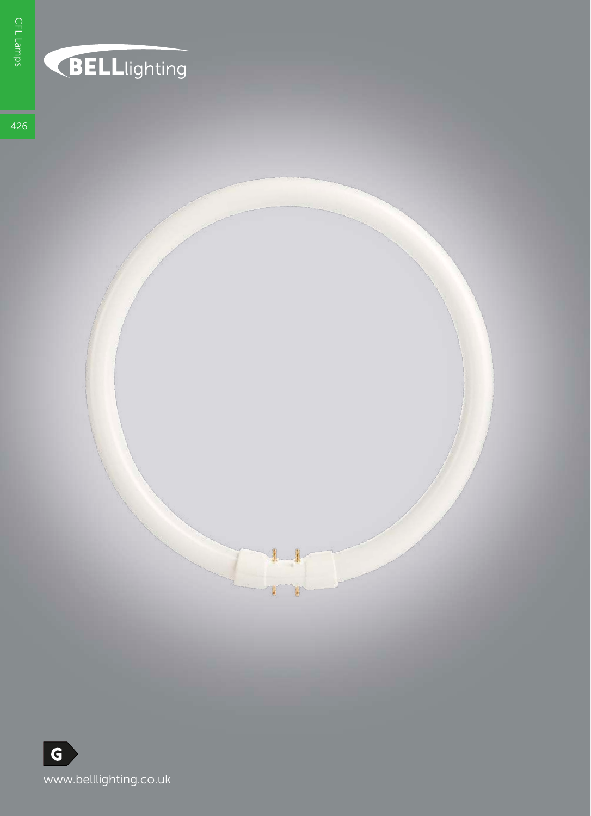## BELLlighting

426

U V